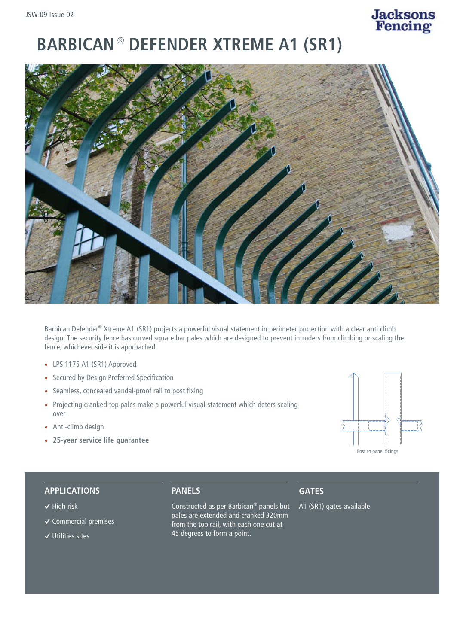# **Jacksons**<br>Fencing

# **BARBICAN** ® **DEFENDER XTREME A1 (SR1)**



Barbican Defender® Xtreme A1 (SR1) projects a powerful visual statement in perimeter protection with a clear anti climb design. The security fence has curved square bar pales which are designed to prevent intruders from climbing or scaling the fence, whichever side it is approached.

- LPS 1175 A1 (SR1) Approved
- Secured by Design Preferred Specification
- Seamless, concealed vandal-proof rail to post fixing
- Projecting cranked top pales make a powerful visual statement which deters scaling over
- Anti-climb design
- **25-year service life guarantee**



#### **APPLICATIONS**

- **�** High risk
- **�** Commercial premises
- **�** Utilities sites

**PANELS**

Constructed as per Barbican® panels but pales are extended and cranked 320mm from the top rail, with each one cut at 45 degrees to form a point.

# **GATES**

A1 (SR1) gates available